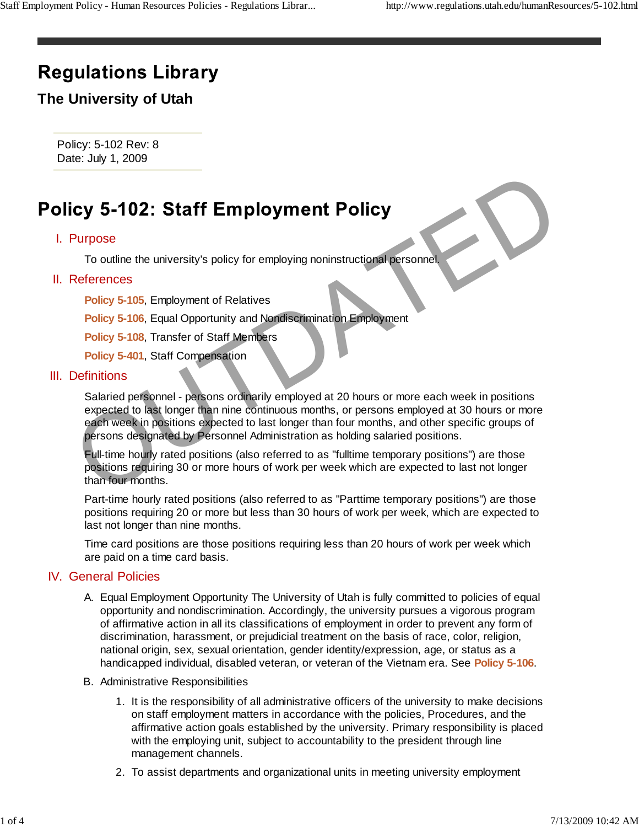# **Regulations Library**

## **The University of Utah**

Policy: 5-102 Rev: 8 Date: July 1, 2009

### I. Purpose

To outline the university's policy for employing noninstructional personnel.

#### II. References

**Policy 5-105**, Employment of Relatives

**Policy 5-106**, Equal Opportunity and Nondiscrimination Employment

**Policy 5-108**, Transfer of Staff Members

**Policy 5-401**, Staff Compensation

#### III. Definitions

Salaried personnel - persons ordinarily employed at 20 hours or more each week in positions expected to last longer than nine continuous months, or persons employed at 30 hours or more each week in positions expected to last longer than four months, and other specific groups of persons designated by Personnel Administration as holding salaried positions. Cy 5-102: Staff Employment Policy<br>
Purpose<br>
To outline the university's policy for employing noninstructional personnel<br>
References<br>
Policy 5-105, Employment of Relatives<br>
Policy 5-105, Employment of Relatives<br>
Policy 5-10

Full-time hourly rated positions (also referred to as "fulltime temporary positions") are those positions requiring 30 or more hours of work per week which are expected to last not longer than four months.

Part-time hourly rated positions (also referred to as "Parttime temporary positions") are those positions requiring 20 or more but less than 30 hours of work per week, which are expected to last not longer than nine months.

Time card positions are those positions requiring less than 20 hours of work per week which are paid on a time card basis.

#### **IV.** General Policies

- A. Equal Employment Opportunity The University of Utah is fully committed to policies of equal opportunity and nondiscrimination. Accordingly, the university pursues a vigorous program of affirmative action in all its classifications of employment in order to prevent any form of discrimination, harassment, or prejudicial treatment on the basis of race, color, religion, national origin, sex, sexual orientation, gender identity/expression, age, or status as a handicapped individual, disabled veteran, or veteran of the Vietnam era. See **Policy 5-106**.
- B. Administrative Responsibilities
	- 1. It is the responsibility of all administrative officers of the university to make decisions on staff employment matters in accordance with the policies, Procedures, and the affirmative action goals established by the university. Primary responsibility is placed with the employing unit, subject to accountability to the president through line management channels.
	- 2. To assist departments and organizational units in meeting university employment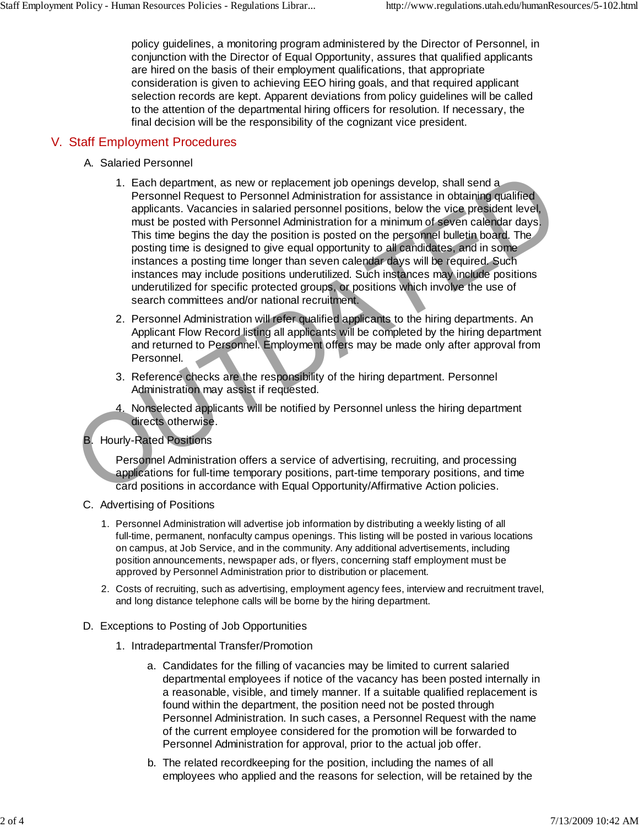policy guidelines, a monitoring program administered by the Director of Personnel, in conjunction with the Director of Equal Opportunity, assures that qualified applicants are hired on the basis of their employment qualifications, that appropriate consideration is given to achieving EEO hiring goals, and that required applicant selection records are kept. Apparent deviations from policy guidelines will be called to the attention of the departmental hiring officers for resolution. If necessary, the final decision will be the responsibility of the cognizant vice president.

#### V. Staff Employment Procedures

- A. Salaried Personnel
- 1. Each department, as new or replacement job openings develop, shall send a Personnel Request to Personnel Administration for assistance in obtaining qualified applicants. Vacancies in salaried personnel positions, below the vice president level, must be posted with Personnel Administration for a minimum of seven calendar days. This time begins the day the position is posted on the personnel bulletin board. The posting time is designed to give equal opportunity to all candidates, and in some instances a posting time longer than seven calendar days will be required. Such instances may include positions underutilized. Such instances may include positions underutilized for specific protected groups, or positions which involve the use of search committees and/or national recruitment. 1. Each department, as new or replacement job openings develop, shall send<br>a Personnel Request to Personnel Administration for a saststance in obtaining qualified<br>applicants. Vacancies in salaried personnel positions, belo
	- 2. Personnel Administration will refer qualified applicants to the hiring departments. An Applicant Flow Record listing all applicants will be completed by the hiring department and returned to Personnel. Employment offers may be made only after approval from Personnel.
	- 3. Reference checks are the responsibility of the hiring department. Personnel Administration may assist if requested.
	- 4. Nonselected applicants will be notified by Personnel unless the hiring department directs otherwise.

#### **B.** Hourly-Rated Positions

Personnel Administration offers a service of advertising, recruiting, and processing applications for full-time temporary positions, part-time temporary positions, and time card positions in accordance with Equal Opportunity/Affirmative Action policies.

- C. Advertising of Positions
	- 1. Personnel Administration will advertise job information by distributing a weekly listing of all full-time, permanent, nonfaculty campus openings. This listing will be posted in various locations on campus, at Job Service, and in the community. Any additional advertisements, including position announcements, newspaper ads, or flyers, concerning staff employment must be approved by Personnel Administration prior to distribution or placement.
	- 2. Costs of recruiting, such as advertising, employment agency fees, interview and recruitment travel, and long distance telephone calls will be borne by the hiring department.
- D. Exceptions to Posting of Job Opportunities
	- 1. Intradepartmental Transfer/Promotion
		- Candidates for the filling of vacancies may be limited to current salaried a. departmental employees if notice of the vacancy has been posted internally in a reasonable, visible, and timely manner. If a suitable qualified replacement is found within the department, the position need not be posted through Personnel Administration. In such cases, a Personnel Request with the name of the current employee considered for the promotion will be forwarded to Personnel Administration for approval, prior to the actual job offer.
		- b. The related recordkeeping for the position, including the names of all employees who applied and the reasons for selection, will be retained by the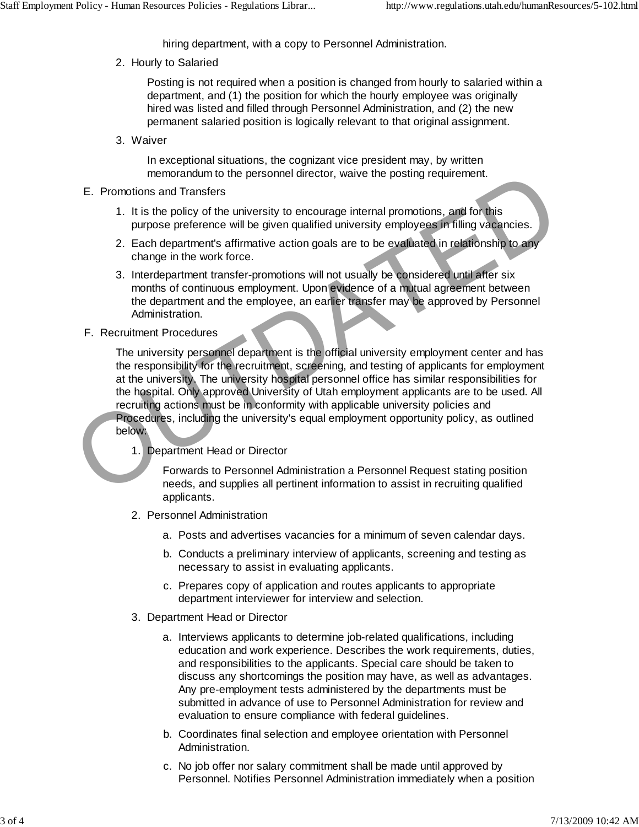hiring department, with a copy to Personnel Administration.

2. Hourly to Salaried

Posting is not required when a position is changed from hourly to salaried within a department, and (1) the position for which the hourly employee was originally hired was listed and filled through Personnel Administration, and (2) the new permanent salaried position is logically relevant to that original assignment.

Waiver 3.

In exceptional situations, the cognizant vice president may, by written memorandum to the personnel director, waive the posting requirement.

- E. Promotions and Transfers
	- 1. It is the policy of the university to encourage internal promotions, and for this purpose preference will be given qualified university employees in filling vacancies.
	- 2. Each department's affirmative action goals are to be evaluated in relationship to any change in the work force.
	- 3. Interdepartment transfer-promotions will not usually be considered until after six months of continuous employment. Upon evidence of a mutual agreement between the department and the employee, an earlier transfer may be approved by Personnel Administration.
- F. Recruitment Procedures

The university personnel department is the official university employment center and has the responsibility for the recruitment, screening, and testing of applicants for employment at the university. The university hospital personnel office has similar responsibilities for the hospital. Only approved University of Utah employment applicants are to be used. All recruiting actions must be in conformity with applicable university policies and Procedures, including the university's equal employment opportunity policy, as outlined below: memorandum to the personnel director, wave the posting requirement.<br>
1. It is the policy of the university to encourage internal promotions, and for this<br>
purpose preference will be given qualified university employees in

Department Head or Director 1.

Forwards to Personnel Administration a Personnel Request stating position needs, and supplies all pertinent information to assist in recruiting qualified applicants.

- 2. Personnel Administration
	- a. Posts and advertises vacancies for a minimum of seven calendar days.
	- b. Conducts a preliminary interview of applicants, screening and testing as necessary to assist in evaluating applicants.
	- c. Prepares copy of application and routes applicants to appropriate department interviewer for interview and selection.
- 3. Department Head or Director
	- a. Interviews applicants to determine job-related qualifications, including education and work experience. Describes the work requirements, duties, and responsibilities to the applicants. Special care should be taken to discuss any shortcomings the position may have, as well as advantages. Any pre-employment tests administered by the departments must be submitted in advance of use to Personnel Administration for review and evaluation to ensure compliance with federal guidelines.
	- Coordinates final selection and employee orientation with Personnel b. Administration.
	- c. No job offer nor salary commitment shall be made until approved by Personnel. Notifies Personnel Administration immediately when a position